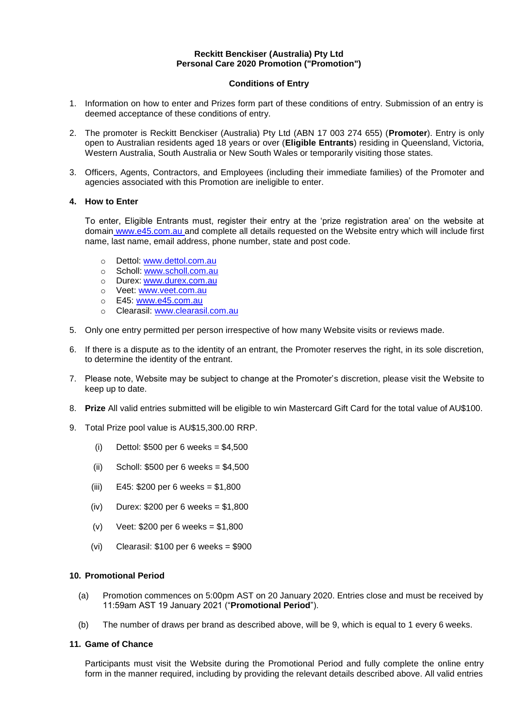#### **Reckitt Benckiser (Australia) Pty Ltd Personal Care 2020 Promotion ("Promotion")**

# **Conditions of Entry**

- 1. Information on how to enter and Prizes form part of these conditions of entry. Submission of an entry is deemed acceptance of these conditions of entry.
- 2. The promoter is Reckitt Benckiser (Australia) Pty Ltd (ABN 17 003 274 655) (**Promoter**). Entry is only open to Australian residents aged 18 years or over (**Eligible Entrants**) residing in Queensland, Victoria, Western Australia, South Australia or New South Wales or temporarily visiting those states.
- 3. Officers, Agents, Contractors, and Employees (including their immediate families) of the Promoter and agencies associated with this Promotion are ineligible to enter.

# **4. How to Enter**

To enter, Eligible Entrants must, register their entry at the 'prize registration area' on the website at domain www.e45.com.au and complete all details requested on the Website entry which will include first name, last name, email address, phone number, state and post code.

- o Dettol: [www.dettol.com.au](http://www.dettol.com.au/)
- o Scholl: [www.scholl.com.au](http://www.scholl.com.au/)
- o Durex: [www.durex.com.au](http://www.durex.com.au/)
- o Veet: [www.veet.com.au](http://www.veet.com.au/)
- o E45: [www.e45.com.au](http://www.e45.com.au/)
- o Clearasil: [www.clearasil.com.au](http://www.clearasil.com.au/)
- 5. Only one entry permitted per person irrespective of how many Website visits or reviews made.
- 6. If there is a dispute as to the identity of an entrant, the Promoter reserves the right, in its sole discretion, to determine the identity of the entrant.
- 7. Please note, Website may be subject to change at the Promoter's discretion, please visit the Website to keep up to date.
- 8. **Prize** All valid entries submitted will be eligible to win Mastercard Gift Card for the total value of AU\$100.
- 9. Total Prize pool value is AU\$15,300.00 RRP.
	- (i) Dettol:  $$500$  per 6 weeks =  $$4,500$
	- (ii) Scholl: \$500 per 6 weeks = \$4,500
	- (iii)  $E45: $200 \text{ per } 6 \text{ weeks} = $1,800$
	- (iv) Durex: \$200 per 6 weeks = \$1,800
	- (v) Veet: \$200 per 6 weeks = \$1,800
	- (vi) Clearasil: \$100 per 6 weeks = \$900

# **10. Promotional Period**

- (a) Promotion commences on 5:00pm AST on 20 January 2020. Entries close and must be received by 11:59am AST 19 January 2021 ("**Promotional Period**").
- (b) The number of draws per brand as described above, will be 9, which is equal to 1 every 6 weeks.

# **11. Game of Chance**

Participants must visit the Website during the Promotional Period and fully complete the online entry form in the manner required, including by providing the relevant details described above. All valid entries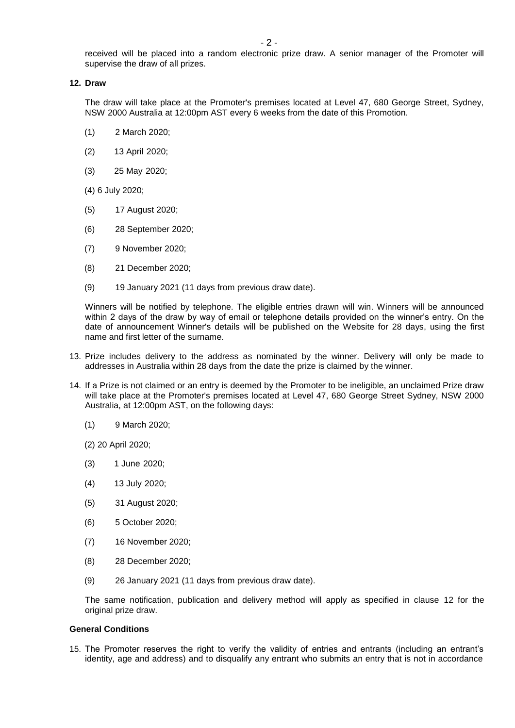received will be placed into a random electronic prize draw. A senior manager of the Promoter will supervise the draw of all prizes.

#### <span id="page-1-0"></span>**12. Draw**

The draw will take place at the Promoter's premises located at Level 47, 680 George Street, Sydney, NSW 2000 Australia at 12:00pm AST every 6 weeks from the date of this Promotion.

- (1) 2 March 2020;
- (2) 13 April 2020;
- (3) 25 May 2020;
- (4) 6 July 2020;
- (5) 17 August 2020;
- (6) 28 September 2020;
- (7) 9 November 2020;
- (8) 21 December 2020;
- (9) 19 January 2021 (11 days from previous draw date).

Winners will be notified by telephone. The eligible entries drawn will win. Winners will be announced within 2 days of the draw by way of email or telephone details provided on the winner's entry. On the date of announcement Winner's details will be published on the Website for 28 days, using the first name and first letter of the surname.

- <span id="page-1-1"></span>13. Prize includes delivery to the address as nominated by the winner. Delivery will only be made to addresses in Australia within 28 days from the date the prize is claimed by the winner.
- 14. If a Prize is not claimed or an entry is deemed by the Promoter to be ineligible, an unclaimed Prize draw will take place at the Promoter's premises located at Level 47, 680 George Street Sydney, NSW 2000 Australia, at 12:00pm AST, on the following days:
	- (1) 9 March 2020;
	- (2) 20 April 2020;
	- (3) 1 June 2020;
	- (4) 13 July 2020;
	- (5) 31 August 2020;
	- (6) 5 October 2020;
	- (7) 16 November 2020;
	- (8) 28 December 2020;
	- (9) 26 January 2021 (11 days from previous draw date).

The same notification, publication and delivery method will apply as specified in clause [12](#page-1-0) for the original prize draw.

#### **General Conditions**

15. The Promoter reserves the right to verify the validity of entries and entrants (including an entrant's identity, age and address) and to disqualify any entrant who submits an entry that is not in accordance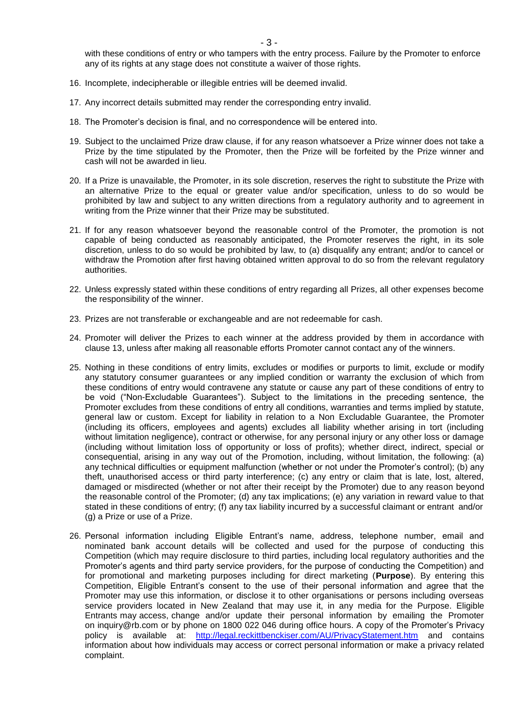- 3 -

with these conditions of entry or who tampers with the entry process. Failure by the Promoter to enforce any of its rights at any stage does not constitute a waiver of those rights.

- 16. Incomplete, indecipherable or illegible entries will be deemed invalid.
- 17. Any incorrect details submitted may render the corresponding entry invalid.
- 18. The Promoter's decision is final, and no correspondence will be entered into.
- 19. Subject to the unclaimed Prize draw clause, if for any reason whatsoever a Prize winner does not take a Prize by the time stipulated by the Promoter, then the Prize will be forfeited by the Prize winner and cash will not be awarded in lieu.
- 20. If a Prize is unavailable, the Promoter, in its sole discretion, reserves the right to substitute the Prize with an alternative Prize to the equal or greater value and/or specification, unless to do so would be prohibited by law and subject to any written directions from a regulatory authority and to agreement in writing from the Prize winner that their Prize may be substituted.
- 21. If for any reason whatsoever beyond the reasonable control of the Promoter, the promotion is not capable of being conducted as reasonably anticipated, the Promoter reserves the right, in its sole discretion, unless to do so would be prohibited by law, to (a) disqualify any entrant; and/or to cancel or withdraw the Promotion after first having obtained written approval to do so from the relevant regulatory authorities.
- 22. Unless expressly stated within these conditions of entry regarding all Prizes, all other expenses become the responsibility of the winner.
- 23. Prizes are not transferable or exchangeable and are not redeemable for cash.
- 24. Promoter will deliver the Prizes to each winner at the address provided by them in accordance with clause [13, u](#page-1-1)nless after making all reasonable efforts Promoter cannot contact any of the winners.
- 25. Nothing in these conditions of entry limits, excludes or modifies or purports to limit, exclude or modify any statutory consumer guarantees or any implied condition or warranty the exclusion of which from these conditions of entry would contravene any statute or cause any part of these conditions of entry to be void ("Non-Excludable Guarantees"). Subject to the limitations in the preceding sentence, the Promoter excludes from these conditions of entry all conditions, warranties and terms implied by statute, general law or custom. Except for liability in relation to a Non Excludable Guarantee, the Promoter (including its officers, employees and agents) excludes all liability whether arising in tort (including without limitation negligence), contract or otherwise, for any personal injury or any other loss or damage (including without limitation loss of opportunity or loss of profits); whether direct, indirect, special or consequential, arising in any way out of the Promotion, including, without limitation, the following: (a) any technical difficulties or equipment malfunction (whether or not under the Promoter's control); (b) any theft, unauthorised access or third party interference; (c) any entry or claim that is late, lost, altered, damaged or misdirected (whether or not after their receipt by the Promoter) due to any reason beyond the reasonable control of the Promoter; (d) any tax implications; (e) any variation in reward value to that stated in these conditions of entry; (f) any tax liability incurred by a successful claimant or entrant and/or (g) a Prize or use of a Prize.
- 26. Personal information including Eligible Entrant's name, address, telephone number, email and nominated bank account details will be collected and used for the purpose of conducting this Competition (which may require disclosure to third parties, including local regulatory authorities and the Promoter's agents and third party service providers, for the purpose of conducting the Competition) and for promotional and marketing purposes including for direct marketing (**Purpose**). By entering this Competition, Eligible Entrant's consent to the use of their personal information and agree that the Promoter may use this information, or disclose it to other organisations or persons including overseas service providers located in New Zealand that may use it, in any media for the Purpose. Eligible Entrants may access, change and/or update their personal information by emailing the Promoter on [inquiry@rb.com o](mailto:inquiry@rb.com)r by phone on 1800 022 046 during office hours. A copy of the Promoter's Privacy policy is available at: <http://legal.reckittbenckiser.com/AU/PrivacyStatement.htm> and contains information about how individuals may access or correct personal information or make a privacy related complaint.